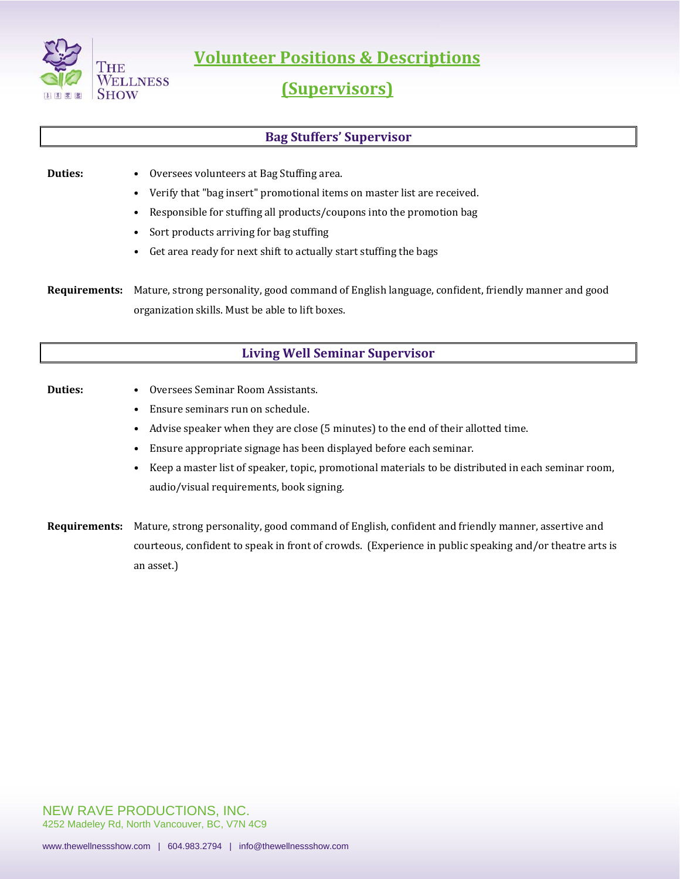

**Volunteer Positions & Descriptions**

# **(Supervisors)**

# **Bag Stuffers' Supervisor**

- **Duties:** Oversees volunteers at Bag Stuffing area.
	- Verify that "bag insert" promotional items on master list are received.
	- Responsible for stuffing all products/coupons into the promotion bag
	- Sort products arriving for bag stuffing
	- Get area ready for next shift to actually start stuffing the bags

**Requirements:** Mature, strong personality, good command of English language, confident, friendly manner and good organization skills. Must be able to lift boxes.

# **Living Well Seminar Supervisor**

### **Duties:** • Oversees Seminar Room Assistants.

- Ensure seminars run on schedule.
- Advise speaker when they are close (5 minutes) to the end of their allotted time.
- Ensure appropriate signage has been displayed before each seminar.
- Keep a master list of speaker, topic, promotional materials to be distributed in each seminar room, audio/visual requirements, book signing.
- **Requirements:** Mature, strong personality, good command of English, confident and friendly manner, assertive and courteous, confident to speak in front of crowds. (Experience in public speaking and/or theatre arts is an asset.)

NEW RAVE PRODUCTIONS, INC. 4252 Madeley Rd, North Vancouver, BC, V7N 4C9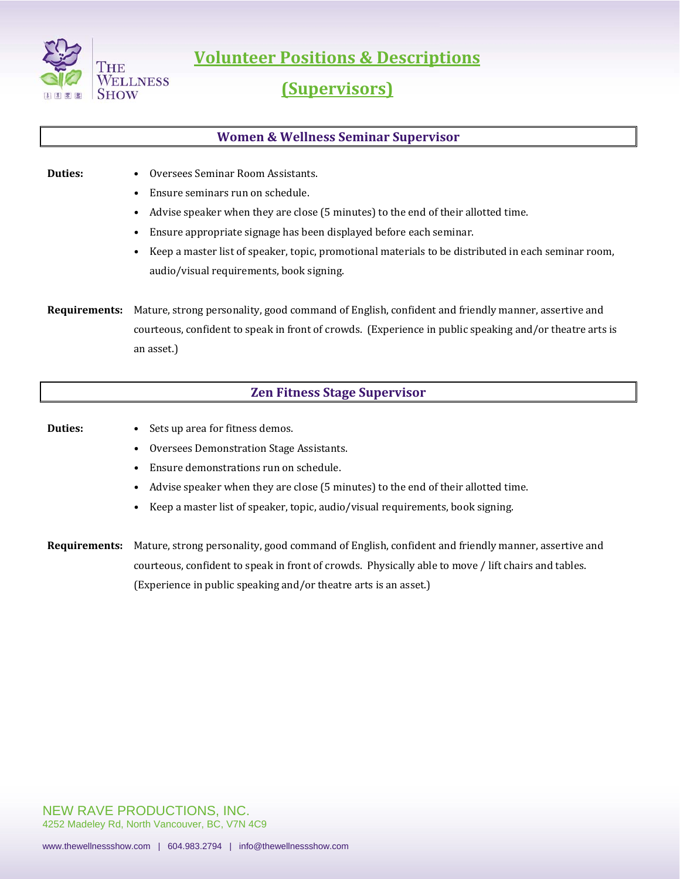

**Volunteer Positions & Descriptions**

# **(Supervisors)**

## **Women & Wellness Seminar Supervisor**

### **Duties:** • Oversees Seminar Room Assistants.

- Ensure seminars run on schedule.
- Advise speaker when they are close (5 minutes) to the end of their allotted time.
- Ensure appropriate signage has been displayed before each seminar.
- Keep a master list of speaker, topic, promotional materials to be distributed in each seminar room, audio/visual requirements, book signing.

**Requirements:** Mature, strong personality, good command of English, confident and friendly manner, assertive and courteous, confident to speak in front of crowds. (Experience in public speaking and/or theatre arts is an asset.)

## **Zen Fitness Stage Supervisor**

- **Duties:** Sets up area for fitness demos.
	- Oversees Demonstration Stage Assistants.
	- Ensure demonstrations run on schedule.
	- Advise speaker when they are close (5 minutes) to the end of their allotted time.
	- Keep a master list of speaker, topic, audio/visual requirements, book signing.

**Requirements:** Mature, strong personality, good command of English, confident and friendly manner, assertive and courteous, confident to speak in front of crowds. Physically able to move / lift chairs and tables. (Experience in public speaking and/or theatre arts is an asset.)